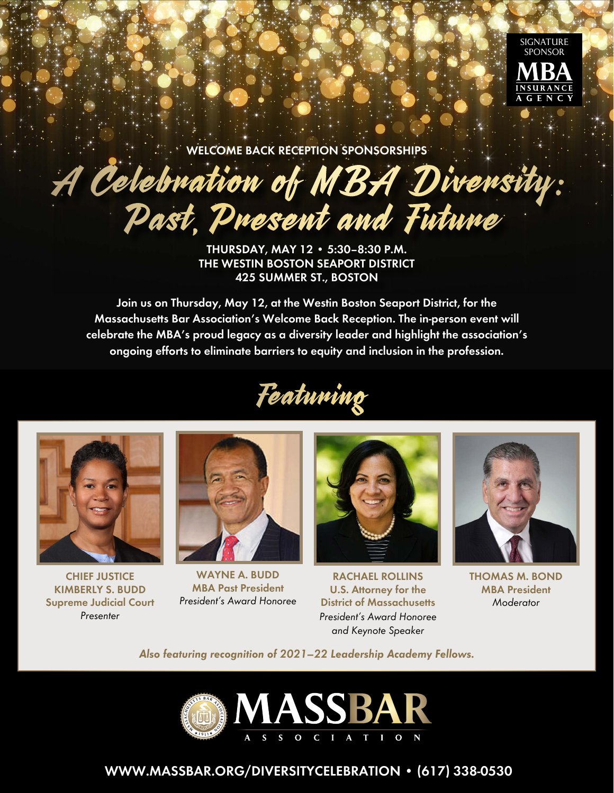

**WELCOME BACK RECEPTION SPONSORSHIPS**

# A Celebration of MBA Diversity: Past, Present and Future

**THURSDAY, MAY 12 • 5:30–8:30 P.M. THE WESTIN BOSTON SEAPORT DISTRICT 425 SUMMER ST., BOSTON**

**Join us on Thursday, May 12, at the Westin Boston Seaport District, for the Massachusetts Bar Association's Welcome Back Reception. The in-person event will celebrate the MBA's proud legacy as a diversity leader and highlight the association's ongoing efforts to eliminate barriers to equity and inclusion in the profession.**





**CHIEF JUSTICE KIMBERLY S. BUDD Supreme Judicial Court** Presenter



**WAYNE A. BUDD MBA Past President** President's Award Honoree



**RACHAEL ROLLINS U.S. Attorney for the District of Massachusetts** President's Award Honoree and Keynote Speaker



**THOMAS M. BOND MBA President**  Moderator

**Also featuring recognition of 2021–22 Leadership Academy Fellows.**



## **[WWW.MASSBAR.ORG/DIVERSITYCELEBRATION](https://www.massbar.org/diversitycelebration) • (617) 338-0530**